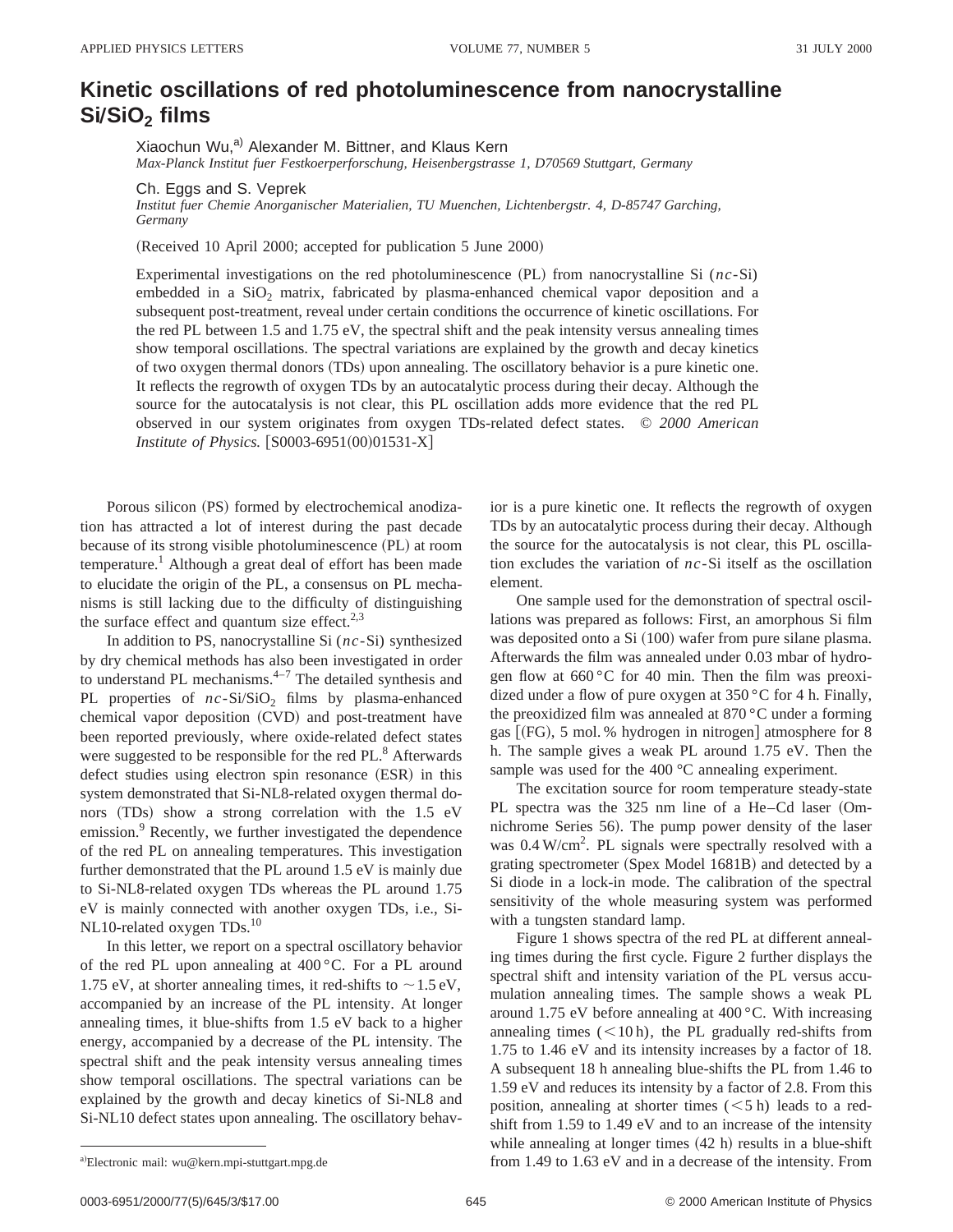## **Kinetic oscillations of red photoluminescence from nanocrystalline SiÕSiO2 films**

Xiaochun Wu,<sup>a)</sup> Alexander M. Bittner, and Klaus Kern *Max-Planck Institut fuer Festkoerperforschung, Heisenbergstrasse 1, D70569 Stuttgart, Germany*

Ch. Eggs and S. Veprek

*Institut fuer Chemie Anorganischer Materialien, TU Muenchen, Lichtenbergstr. 4, D-85747 Garching, Germany*

(Received 10 April 2000; accepted for publication 5 June 2000)

Experimental investigations on the red photoluminescence (PL) from nanocrystalline Si (*nc*-Si) embedded in a  $SiO<sub>2</sub>$  matrix, fabricated by plasma-enhanced chemical vapor deposition and a subsequent post-treatment, reveal under certain conditions the occurrence of kinetic oscillations. For the red PL between 1.5 and 1.75 eV, the spectral shift and the peak intensity versus annealing times show temporal oscillations. The spectral variations are explained by the growth and decay kinetics of two oxygen thermal donors (TDs) upon annealing. The oscillatory behavior is a pure kinetic one. It reflects the regrowth of oxygen TDs by an autocatalytic process during their decay. Although the source for the autocatalysis is not clear, this PL oscillation adds more evidence that the red PL observed in our system originates from oxygen TDs-related defect states. © *2000 American Institute of Physics.* [S0003-6951(00)01531-X]

Porous silicon (PS) formed by electrochemical anodization has attracted a lot of interest during the past decade because of its strong visible photoluminescence (PL) at room temperature.<sup>1</sup> Although a great deal of effort has been made to elucidate the origin of the PL, a consensus on PL mechanisms is still lacking due to the difficulty of distinguishing the surface effect and quantum size effect. $2,3$ 

In addition to PS, nanocrystalline Si (*nc*-Si) synthesized by dry chemical methods has also been investigated in order to understand PL mechanisms.<sup>4-7</sup> The detailed synthesis and PL properties of  $nc-Si/SiO<sub>2</sub>$  films by plasma-enhanced chemical vapor deposition (CVD) and post-treatment have been reported previously, where oxide-related defect states were suggested to be responsible for the red PL.<sup>8</sup> Afterwards defect studies using electron spin resonance (ESR) in this system demonstrated that Si-NL8-related oxygen thermal donors (TDs) show a strong correlation with the 1.5 eV emission.<sup>9</sup> Recently, we further investigated the dependence of the red PL on annealing temperatures. This investigation further demonstrated that the PL around 1.5 eV is mainly due to Si-NL8-related oxygen TDs whereas the PL around 1.75 eV is mainly connected with another oxygen TDs, i.e., Si-NL10-related oxygen TDs.<sup>10</sup>

In this letter, we report on a spectral oscillatory behavior of the red PL upon annealing at 400 °C. For a PL around 1.75 eV, at shorter annealing times, it red-shifts to  $\sim$  1.5 eV, accompanied by an increase of the PL intensity. At longer annealing times, it blue-shifts from 1.5 eV back to a higher energy, accompanied by a decrease of the PL intensity. The spectral shift and the peak intensity versus annealing times show temporal oscillations. The spectral variations can be explained by the growth and decay kinetics of Si-NL8 and Si-NL10 defect states upon annealing. The oscillatory behavior is a pure kinetic one. It reflects the regrowth of oxygen TDs by an autocatalytic process during their decay. Although the source for the autocatalysis is not clear, this PL oscillation excludes the variation of *nc*-Si itself as the oscillation element.

One sample used for the demonstration of spectral oscillations was prepared as follows: First, an amorphous Si film was deposited onto a Si  $(100)$  wafer from pure silane plasma. Afterwards the film was annealed under 0.03 mbar of hydrogen flow at 660 °C for 40 min. Then the film was preoxidized under a flow of pure oxygen at 350 °C for 4 h. Finally, the preoxidized film was annealed at 870 °C under a forming gas  $[$ (FG), 5 mol. % hydrogen in nitrogen] atmosphere for 8 h. The sample gives a weak PL around 1.75 eV. Then the sample was used for the 400 °C annealing experiment.

The excitation source for room temperature steady-state PL spectra was the 325 nm line of a He–Cd laser (Omnichrome Series 56). The pump power density of the laser was 0.4 W/cm<sup>2</sup>. PL signals were spectrally resolved with a grating spectrometer (Spex Model 1681B) and detected by a Si diode in a lock-in mode. The calibration of the spectral sensitivity of the whole measuring system was performed with a tungsten standard lamp.

Figure 1 shows spectra of the red PL at different annealing times during the first cycle. Figure 2 further displays the spectral shift and intensity variation of the PL versus accumulation annealing times. The sample shows a weak PL around 1.75 eV before annealing at 400 °C. With increasing annealing times  $(<10 h)$ , the PL gradually red-shifts from 1.75 to 1.46 eV and its intensity increases by a factor of 18. A subsequent 18 h annealing blue-shifts the PL from 1.46 to 1.59 eV and reduces its intensity by a factor of 2.8. From this position, annealing at shorter times  $(< 5 h)$  leads to a redshift from 1.59 to 1.49 eV and to an increase of the intensity while annealing at longer times  $(42 h)$  results in a blue-shift from  $1.49$  to  $1.63$  eV and in a decrease of the intensity. From

a)Electronic mail: wu@kern.mpi-stuttgart.mpg.de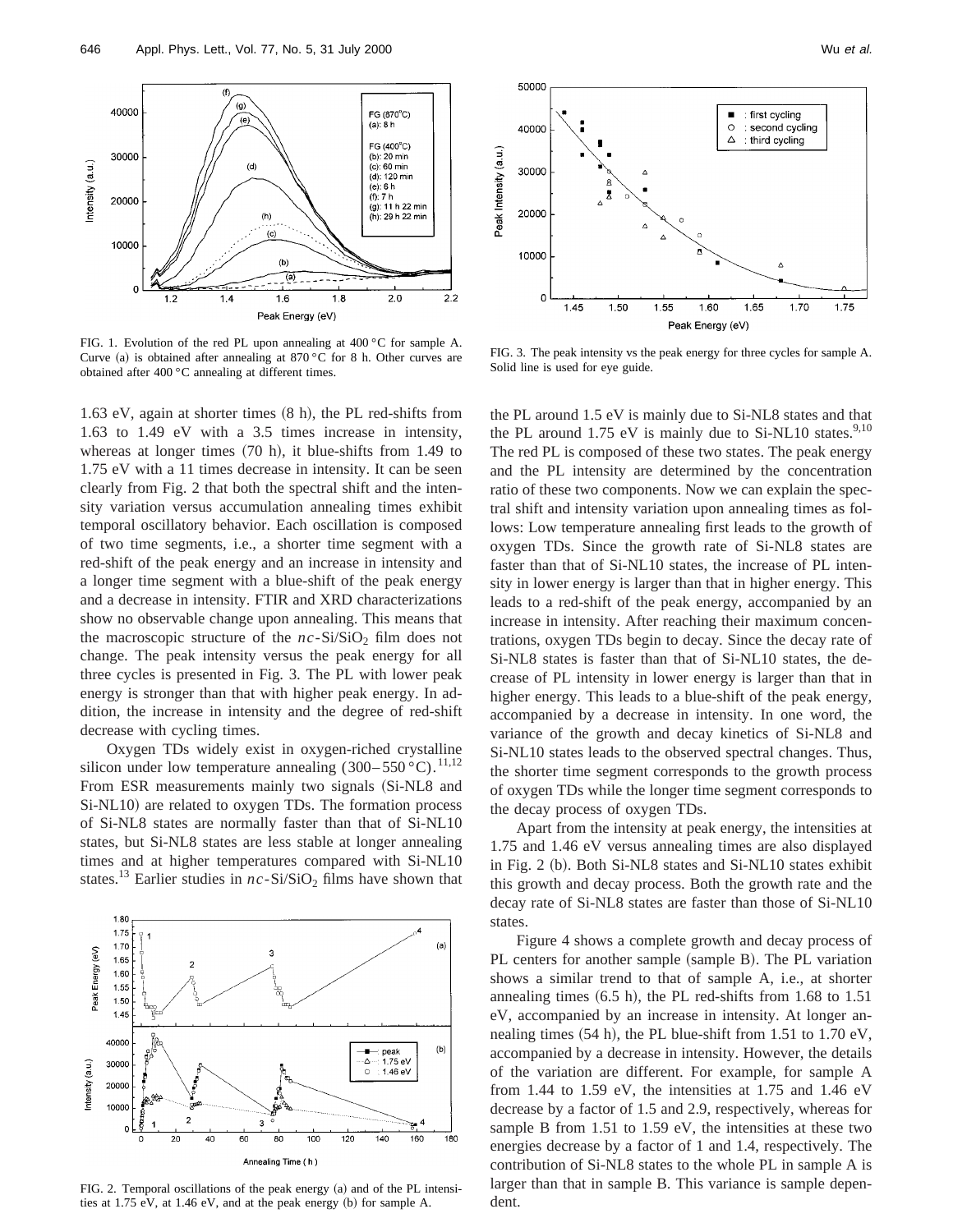

FIG. 1. Evolution of the red PL upon annealing at 400 °C for sample A. Curve (a) is obtained after annealing at  $870\degree$ C for 8 h. Other curves are obtained after 400 °C annealing at different times.

1.63 eV, again at shorter times  $(8 \text{ h})$ , the PL red-shifts from 1.63 to 1.49 eV with a 3.5 times increase in intensity, whereas at longer times  $(70 \text{ h})$ , it blue-shifts from 1.49 to 1.75 eV with a 11 times decrease in intensity. It can be seen clearly from Fig. 2 that both the spectral shift and the intensity variation versus accumulation annealing times exhibit temporal oscillatory behavior. Each oscillation is composed of two time segments, i.e., a shorter time segment with a red-shift of the peak energy and an increase in intensity and a longer time segment with a blue-shift of the peak energy and a decrease in intensity. FTIR and XRD characterizations show no observable change upon annealing. This means that the macroscopic structure of the  $nc-Si/SiO<sub>2</sub>$  film does not change. The peak intensity versus the peak energy for all three cycles is presented in Fig. 3. The PL with lower peak energy is stronger than that with higher peak energy. In addition, the increase in intensity and the degree of red-shift decrease with cycling times.

Oxygen TDs widely exist in oxygen-riched crystalline silicon under low temperature annealing  $(300-550 \degree C)$ .<sup>11,12</sup> From ESR measurements mainly two signals (Si-NL8 and Si-NL10) are related to oxygen TDs. The formation process of Si-NL8 states are normally faster than that of Si-NL10 states, but Si-NL8 states are less stable at longer annealing times and at higher temperatures compared with Si-NL10 states.<sup>13</sup> Earlier studies in  $nc-Si/SiO<sub>2</sub>$  films have shown that



FIG. 2. Temporal oscillations of the peak energy (a) and of the PL intensities at  $1.75$  eV, at  $1.46$  eV, and at the peak energy (b) for sample A.



FIG. 3. The peak intensity vs the peak energy for three cycles for sample A. Solid line is used for eye guide.

the PL around 1.5 eV is mainly due to Si-NL8 states and that the PL around  $1.75$  eV is mainly due to Si-NL10 states.<sup>9,10</sup> The red PL is composed of these two states. The peak energy and the PL intensity are determined by the concentration ratio of these two components. Now we can explain the spectral shift and intensity variation upon annealing times as follows: Low temperature annealing first leads to the growth of oxygen TDs. Since the growth rate of Si-NL8 states are faster than that of Si-NL10 states, the increase of PL intensity in lower energy is larger than that in higher energy. This leads to a red-shift of the peak energy, accompanied by an increase in intensity. After reaching their maximum concentrations, oxygen TDs begin to decay. Since the decay rate of Si-NL8 states is faster than that of Si-NL10 states, the decrease of PL intensity in lower energy is larger than that in higher energy. This leads to a blue-shift of the peak energy, accompanied by a decrease in intensity. In one word, the variance of the growth and decay kinetics of Si-NL8 and Si-NL10 states leads to the observed spectral changes. Thus, the shorter time segment corresponds to the growth process of oxygen TDs while the longer time segment corresponds to the decay process of oxygen TDs.

Apart from the intensity at peak energy, the intensities at 1.75 and 1.46 eV versus annealing times are also displayed in Fig. 2 (b). Both Si-NL8 states and Si-NL10 states exhibit this growth and decay process. Both the growth rate and the decay rate of Si-NL8 states are faster than those of Si-NL10 states.

Figure 4 shows a complete growth and decay process of PL centers for another sample (sample B). The PL variation shows a similar trend to that of sample A, i.e., at shorter annealing times  $(6.5 \text{ h})$ , the PL red-shifts from 1.68 to 1.51 eV, accompanied by an increase in intensity. At longer annealing times  $(54 h)$ , the PL blue-shift from 1.51 to 1.70 eV, accompanied by a decrease in intensity. However, the details of the variation are different. For example, for sample A from 1.44 to 1.59 eV, the intensities at 1.75 and 1.46 eV decrease by a factor of 1.5 and 2.9, respectively, whereas for sample B from 1.51 to 1.59 eV, the intensities at these two energies decrease by a factor of 1 and 1.4, respectively. The contribution of Si-NL8 states to the whole PL in sample A is larger than that in sample B. This variance is sample dependent.